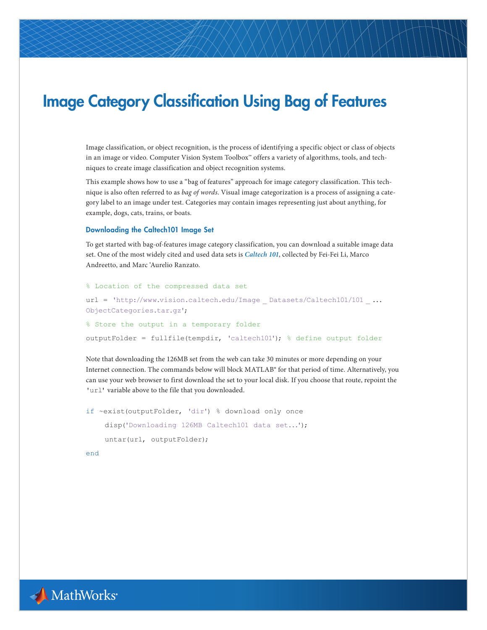# Image Category Classification Using Bag of Features

Image classification, or object recognition, is the process of identifying a specific object or class of objects in an image or video. Computer Vision System Toolbox™ offers a variety of algorithms, tools, and techniques to create image classification and object recognition systems.

This example shows how to use a "bag of features" approach for image category classification. This technique is also often referred to as *bag of words*. Visual image categorization is a process of assigning a category label to an image under test. Categories may contain images representing just about anything, for example, dogs, cats, trains, or boats.

### Downloading the Caltech101 Image Set

To get started with bag-of-features image category classification, you can download a suitable image data set. One of the most widely cited and used data sets is *[Caltech 101](http://www.vision.caltech.edu/Image_Datasets/Caltech101)*, collected by Fei-Fei Li, Marco Andreetto, and Marc 'Aurelio Ranzato.

```
% Location of the compressed data set
url = 'http://www.vision.caltech.edu/Image _Datasets/Caltech101/101 _...
ObjectCategories.tar.gz';
% Store the output in a temporary folder
outputFolder = fullfile(tempdir, 'caltech101'); % define output folder
```
Note that downloading the 126MB set from the web can take 30 minutes or more depending on your Internet connection. The commands below will block MATLAB® for that period of time. Alternatively, you can use your web browser to first download the set to your local disk. If you choose that route, repoint the 'url' variable above to the file that you downloaded.

```
if ~exist(outputFolder, 'dir') % download only once
     disp('Downloading 126MB Caltech101 data set...');
     untar(url, outputFolder);
```
end

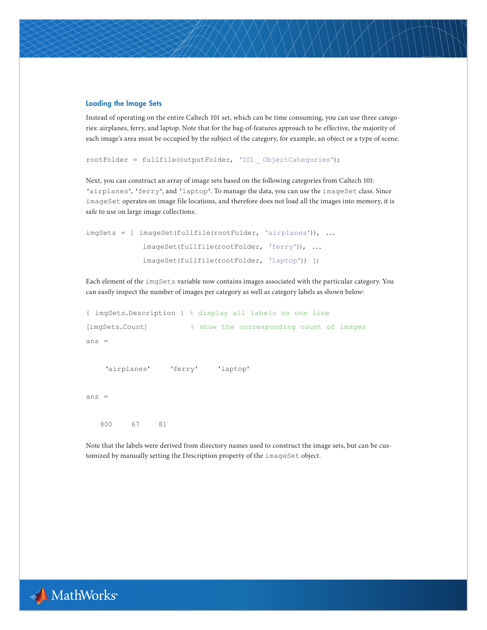# Loading the Image Sets

Instead of operating on the entire Caltech 101 set, which can be time consuming, you can use three categories: airplanes, ferry, and laptop. Note that for the bag-of-features approach to be effective, the majority of each image's area must be occupied by the subject of the category, for example, an object or a type of scene.

```
rootFolder = fullfile(outputFolder, '101 _ ObjectCategories');
```
Next, you can construct an array of image sets based on the following categories from Caltech 101: 'airplanes', 'ferry', and 'laptop'. To manage the data, you can use the imageSet class. Since imageSet operates on image file locations, and therefore does not load all the images into memory, it is safe to use on large image collections.

```
imgSets = [ imageSet(fullfile(rootFolder, 'airplanes')), ...
               imageSet(fullfile(rootFolder, 'ferry')), ...
               imageSet(fullfile(rootFolder, 'laptop')) ];
```
Each element of the imgSets variable now contains images associated with the particular category. You can easily inspect the number of images per category as well as category labels as shown below:

```
{ imgSets.Description } % display all labels on one line
[imgSets.Count] % show the corresponding count of images
ans = 
     'airplanes' 'ferry' 'laptop'
ans =
 800 67 81
```
Note that the labels were derived from directory names used to construct the image sets, but can be customized by manually setting the Description property of the imageSet object.

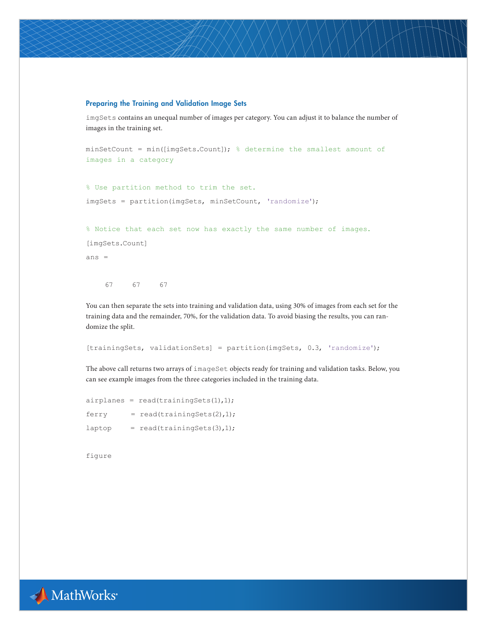# Preparing the Training and Validation Image Sets

imgSets contains an unequal number of images per category. You can adjust it to balance the number of images in the training set.

```
minSetCount = min([imgSets.Count]); % determine the smallest amount of
images in a category
```
% Use partition method to trim the set. imgSets = partition(imgSets, minSetCount, 'randomize');

% Notice that each set now has exactly the same number of images.

[imgSets.Count]

ans =

67 67 67

You can then separate the sets into training and validation data, using 30% of images from each set for the training data and the remainder, 70%, for the validation data. To avoid biasing the results, you can randomize the split.

[trainingSets, validationSets] = partition(imgSets, 0.3, 'randomize');

The above call returns two arrays of imageSet objects ready for training and validation tasks. Below, you can see example images from the three categories included in the training data.

|        | $airplanes = read(trainingSets(1),1);$ |
|--------|----------------------------------------|
| ferry  | $=$ read(trainingSets(2),1);           |
| laptop | $=$ read(trainingSets(3),1);           |

figure

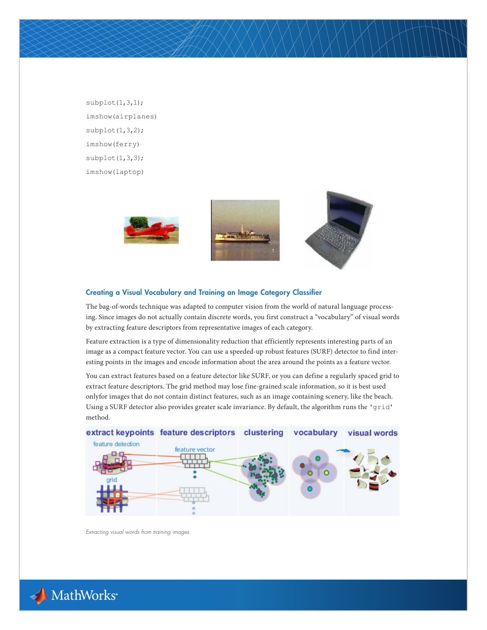$subplot(1,3,1);$ imshow(airplanes)  $subplot(1,3,2);$ imshow(ferry) subplot(1,3,3); imshow(laptop)



# Creating a Visual Vocabulary and Training an Image Category Classifier

The bag-of-words technique was adapted to computer vision from the world of natural language processing. Since images do not actually contain discrete words, you first construct a "vocabulary" of visual words by extracting feature descriptors from representative images of each category.

Feature extraction is a type of dimensionality reduction that efficiently represents interesting parts of an image as a compact feature vector. You can use a speeded-up robust features (SURF) detector to find interesting points in the images and encode information about the area around the points as a feature vector.

You can extract features based on a feature detector like SURF, or you can define a regularly spaced grid to extract feature descriptors. The grid method may lose fine-grained scale information, so it is best used onlyfor images that do not contain distinct features, such as an image containing scenery, like the beach. Using a SURF detector also provides greater scale invariance. By default, the algorithm runs the 'grid' method.



*Extracting visual words from training images.*

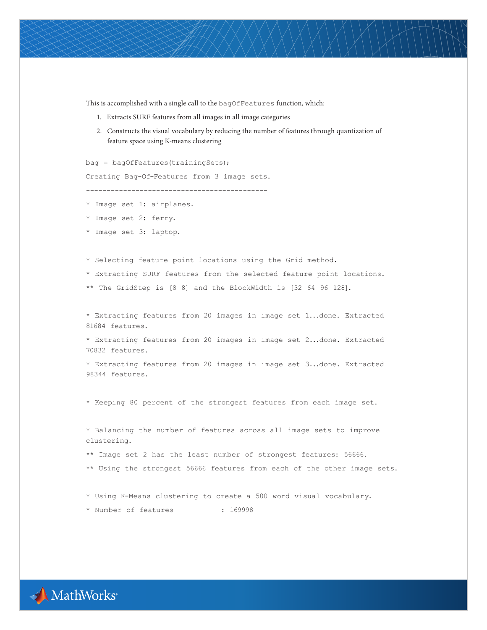This is accomplished with a single call to the bagOfFeatures function, which:

- 1. Extracts SURF features from all images in all image categories
- 2. Constructs the visual vocabulary by reducing the number of features through quantization of feature space using K-means clustering

bag = bagOfFeatures(trainingSets);

Creating Bag-Of-Features from 3 image sets.

--------------------------------------------

- \* Image set 1: airplanes.
- \* Image set 2: ferry.
- \* Image set 3: laptop.

\* Selecting feature point locations using the Grid method.

\* Extracting SURF features from the selected feature point locations.

\*\* The GridStep is [8 8] and the BlockWidth is [32 64 96 128].

\* Extracting features from 20 images in image set 1...done. Extracted 81684 features.

\* Extracting features from 20 images in image set 2...done. Extracted 70832 features.

\* Extracting features from 20 images in image set 3...done. Extracted 98344 features.

\* Keeping 80 percent of the strongest features from each image set.

\* Balancing the number of features across all image sets to improve clustering. \*\* Image set 2 has the least number of strongest features: 56666.

\*\* Using the strongest 56666 features from each of the other image sets.

\* Using K-Means clustering to create a 500 word visual vocabulary.

\* Number of features : 169998

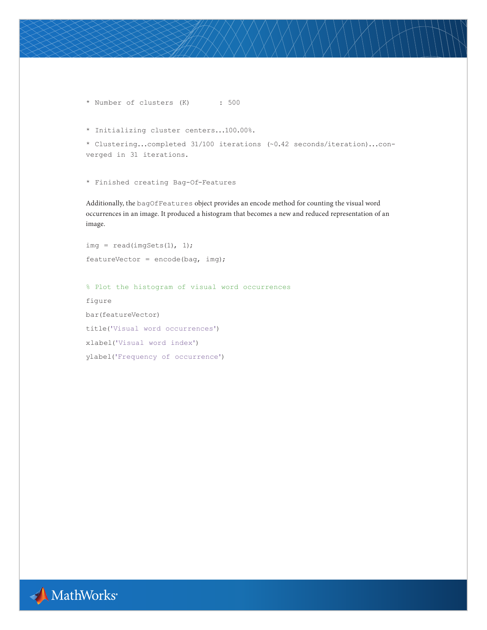\* Number of clusters (K) : 500

```
* Initializing cluster centers...100.00%.
```

```
* Clustering...completed 31/100 iterations (~0.42 seconds/iteration)...con-
verged in 31 iterations.
```
\* Finished creating Bag-Of-Features

Additionally, the bagOfFeatures object provides an encode method for counting the visual word occurrences in an image. It produced a histogram that becomes a new and reduced representation of an image.

```
img = read(imgSets(1), 1);
featureVector = encode(bag, img);
```
% Plot the histogram of visual word occurrences figure bar(featureVector) title('Visual word occurrences') xlabel('Visual word index') ylabel('Frequency of occurrence')

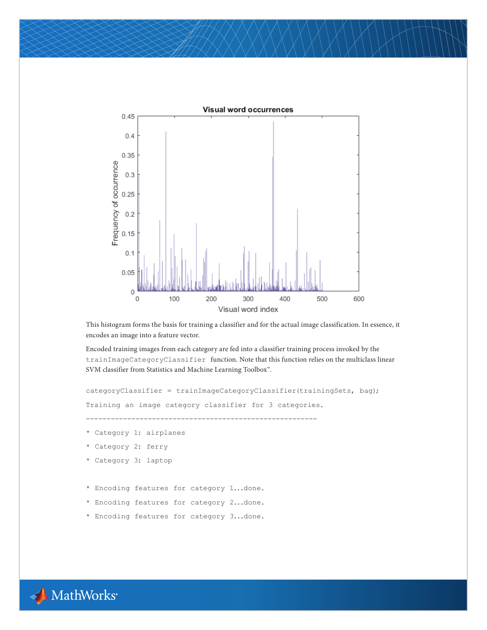

This histogram forms the basis for training a classifier and for the actual image classification. In essence, it encodes an image into a feature vector.

Encoded training images from each category are fed into a classifier training process invoked by the trainImageCategoryClassifier function. Note that this function relies on the multiclass linear SVM classifier from Statistics and Machine Learning Toolbox™.

```
categoryClassifier = trainImageCategoryClassifier(trainingSets, bag);
Training an image category classifier for 3 categories.
--------------------------------------------------------
* Category 1: airplanes
* Category 2: ferry
* Category 3: laptop
* Encoding features for category 1...done.
* Encoding features for category 2...done.
* Encoding features for category 3...done.
```
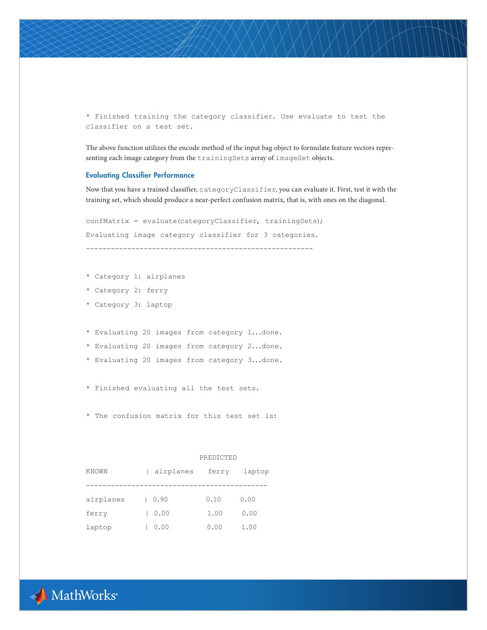\* Finished training the category classifier. Use evaluate to test the classifier on a test set.

The above function utilizes the encode method of the input bag object to formulate feature vectors representing each image category from the trainingSets array of imageSet objects.

# Evaluating Classifier Performance

Now that you have a trained classifier, categoryClassifier, you can evaluate it. First, test it with the training set, which should produce a near-perfect confusion matrix, that is, with ones on the diagonal.

```
confMatrix = evaluate(categoryClassifier, trainingSets);
Evaluating image category classifier for 3 categories.
   -------------------------------------------------------
```
- \* Category 1: airplanes
- \* Category 2: ferry
- \* Category 3: laptop
- \* Evaluating 20 images from category 1...done.
- \* Evaluating 20 images from category 2...done.
- \* Evaluating 20 images from category 3...done.
- \* Finished evaluating all the test sets.
- \* The confusion matrix for this test set is:

#### PREDICTED

| KNOWN     | airplanes | ferry | laptop |  |
|-----------|-----------|-------|--------|--|
|           |           |       |        |  |
| airplanes | 0.90      | 0.10  | 0.00   |  |
| ferry     | 0.00      | 1.00  | 0.00   |  |
| laptop    | 0.00      | 0.00  | 1.00   |  |

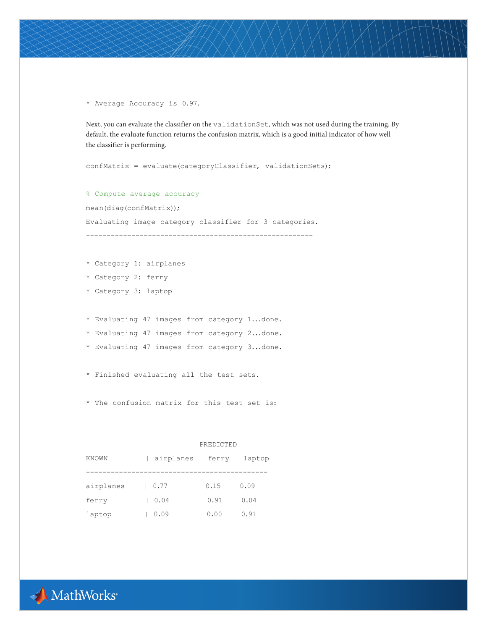\* Average Accuracy is 0.97.

Next, you can evaluate the classifier on the validationSet, which was not used during the training. By default, the evaluate function returns the confusion matrix, which is a good initial indicator of how well the classifier is performing.

confMatrix = evaluate(categoryClassifier, validationSets);

% Compute average accuracy mean(diag(confMatrix)); Evaluating image category classifier for 3 categories. -------------------------------------------------------

- \* Category 1: airplanes
- \* Category 2: ferry
- \* Category 3: laptop
- \* Evaluating 47 images from category 1...done.
- \* Evaluating 47 images from category 2...done.
- \* Evaluating 47 images from category 3...done.
- \* Finished evaluating all the test sets.
- \* The confusion matrix for this test set is:

PREDICTED

| KNOWN     |      | airplanes<br>ferry | laptop |  |
|-----------|------|--------------------|--------|--|
|           |      |                    |        |  |
| airplanes | 0.77 | 0.15               | 0.09   |  |
| ferry     | 0.04 | 0.91               | 0.04   |  |
| laptop    | 0.09 | 0.00               | 0.91   |  |